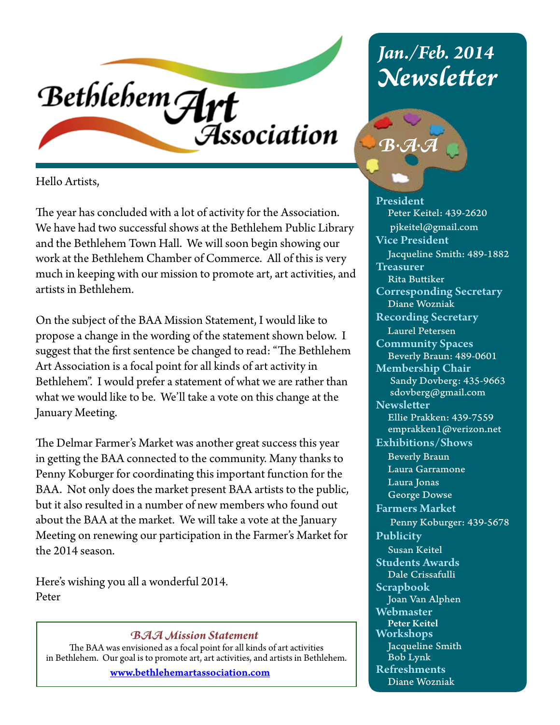

Hello Artists,

The year has concluded with a lot of activity for the Association. We have had two successful shows at the Bethlehem Public Library and the Bethlehem Town Hall. We will soon begin showing our work at the Bethlehem Chamber of Commerce. All of this is very much in keeping with our mission to promote art, art activities, and artists in Bethlehem.

On the subject of the BAA Mission Statement, I would like to propose a change in the wording of the statement shown below. I suggest that the first sentence be changed to read: "The Bethlehem Art Association is a focal point for all kinds of art activity in Bethlehem". I would prefer a statement of what we are rather than what we would like to be. We'll take a vote on this change at the January Meeting.

The Delmar Farmer's Market was another great success this year in getting the BAA connected to the community. Many thanks to Penny Koburger for coordinating this important function for the BAA. Not only does the market present BAA artists to the public, but it also resulted in a number of new members who found out about the BAA at the market. We will take a vote at the January Meeting on renewing our participation in the Farmer's Market for the 2014 season.

Here's wishing you all a wonderful 2014. Peter

#### *BAA Mission Statement*

The BAA was envisioned as a focal point for all kinds of art activities in Bethlehem. Our goal is to promote art, art activities, and artists in Bethlehem.

www.bethlehemartassociation.com

# *Jan./Feb. 2014 Newsletter*



President Peter Keitel: 439-2620 pjkeitel@gmail.com Vice President Jacqueline Smith: 489-1882 **Treasurer**  Rita Buttiker Corresponding Secretary Diane Wozniak Recording Secretary Laurel Petersen Community Spaces Beverly Braun: 489-0601 Membership Chair Sandy Dovberg: 435-9663 sdovberg@gmail.com **Newsletter**  Ellie Prakken: 439-7559 emprakken1@verizon.net Exhibitions/Shows Beverly Braun Laura Garramone Laura Jonas George Dowse Farmers Market Penny Koburger: 439-5678 Publicity Susan Keitel Students Awards Dale Crissafulli Scrapbook Joan Van Alphen **Webmaster**  Peter Keitel Workshops Jacqueline Smith Bob Lynk Refreshments Diane Wozniak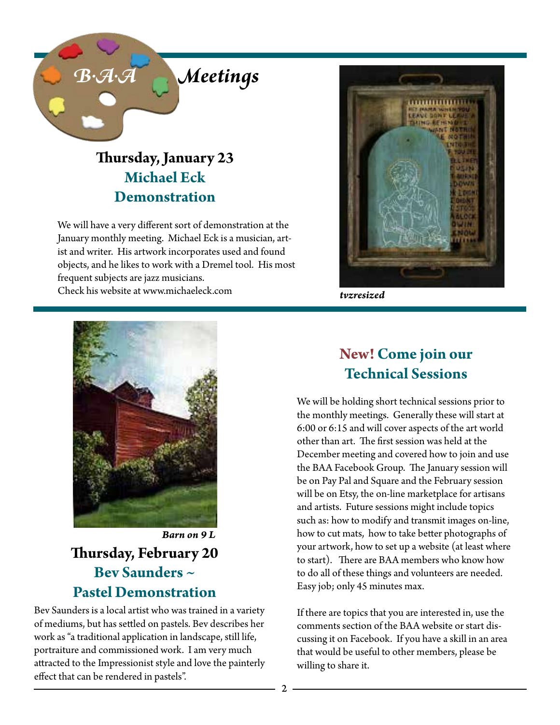

## **Thursday, January 23 Michael Eck Demonstration**

We will have a very different sort of demonstration at the January monthly meeting. Michael Eck is a musician, artist and writer. His artwork incorporates used and found objects, and he likes to work with a Dremel tool. His most frequent subjects are jazz musicians. Check his website at www.michaeleck.com *tvzresized*





## **Thursday, February 20 Bev Saunders ~ Pastel Demonstration** *Barn on 9 L*

Bev Saunders is a local artist who was trained in a variety of mediums, but has settled on pastels. Bev describes her work as "a traditional application in landscape, still life, portraiture and commissioned work. I am very much attracted to the Impressionist style and love the painterly effect that can be rendered in pastels".

## **New! Come join our Technical Sessions**

We will be holding short technical sessions prior to the monthly meetings. Generally these will start at 6:00 or 6:15 and will cover aspects of the art world other than art. The first session was held at the December meeting and covered how to join and use the BAA Facebook Group. The January session will be on Pay Pal and Square and the February session will be on Etsy, the on-line marketplace for artisans and artists. Future sessions might include topics such as: how to modify and transmit images on-line, how to cut mats, how to take better photographs of your artwork, how to set up a website (at least where to start). There are BAA members who know how to do all of these things and volunteers are needed. Easy job; only 45 minutes max.

If there are topics that you are interested in, use the comments section of the BAA website or start discussing it on Facebook. If you have a skill in an area that would be useful to other members, please be willing to share it.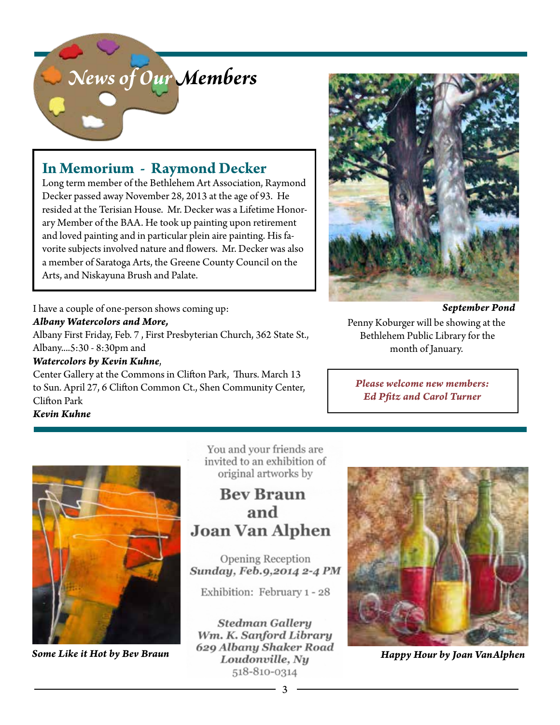

### **In Memorium - Raymond Decker**

Long term member of the Bethlehem Art Association, Raymond Decker passed away November 28, 2013 at the age of 93. He resided at the Terisian House. Mr. Decker was a Lifetime Honorary Member of the BAA. He took up painting upon retirement and loved painting and in particular plein aire painting. His favorite subjects involved nature and flowers. Mr. Decker was also a member of Saratoga Arts, the Greene County Council on the Arts, and Niskayuna Brush and Palate.

I have a couple of one-person shows coming up: *Albany Watercolors and More,* Albany First Friday, Feb. 7 , First Presbyterian Church, 362 State St., Albany....5:30 - 8:30pm and *Watercolors by Kevin Kuhne*,

Center Gallery at the Commons in Clifton Park, Thurs. March 13 to Sun. April 27, 6 Clifton Common Ct., Shen Community Center, Clifton Park

*Kevin Kuhne*



Penny Koburger will be showing at the Bethlehem Public Library for the month of January.

*Please welcome new members: Ed Pfitz and Carol Turner*



You and your friends are invited to an exhibition of original artworks by

**Bev Braun** and **Joan Van Alphen** 

Opening Reception Sunday, Feb.9,2014 2-4 PM

Exhibition: February 1 - 28

**Stedman Gallery** Wm. K. Sanford Library **Some Like it Hot by Bev Braun** 629 Albany Shaker Road<br>Loudonville, Ny **Happy Hour by Joan VanAlphen** 518-810-0314

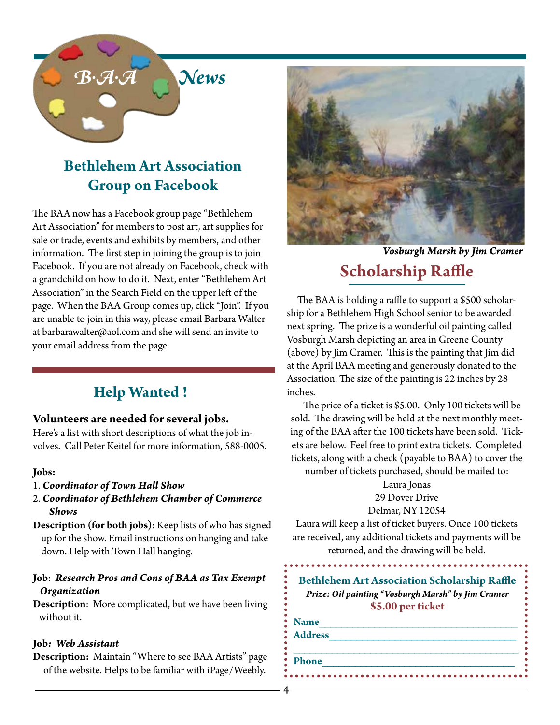

## **Bethlehem Art Association Group on Facebook**

The BAA now has a Facebook group page "Bethlehem Art Association" for members to post art, art supplies for sale or trade, events and exhibits by members, and other information. The first step in joining the group is to join Facebook. If you are not already on Facebook, check with a grandchild on how to do it. Next, enter "Bethlehem Art Association" in the Search Field on the upper left of the page. When the BAA Group comes up, click "Join". If you are unable to join in this way, please email Barbara Walter at barbarawalter@aol.com and she will send an invite to your email address from the page.

## **Help Wanted !**

#### **Volunteers are needed for several jobs.**

Here's a list with short descriptions of what the job involves. Call Peter Keitel for more information, 588-0005.

#### **Jobs:**

- 1. *Coordinator of Town Hall Show*
- 2. *Coordinator of Bethlehem Chamber of Commerce Shows*
- **Description (for both jobs)**: Keep lists of who has signed up for the show. Email instructions on hanging and take down. Help with Town Hall hanging.

#### **Job**: *Research Pros and Cons of BAA as Tax Exempt Organization*

**Description**: More complicated, but we have been living without it.

#### **Job***: Web Assistant*

**Description:** Maintain "Where to see BAA Artists" page of the website. Helps to be familiar with iPage/Weebly.



*Vosburgh Marsh by Jim Cramer*

## **Scholarship Raffle**

 The BAA is holding a raffle to support a \$500 scholarship for a Bethlehem High School senior to be awarded next spring. The prize is a wonderful oil painting called Vosburgh Marsh depicting an area in Greene County (above) by Jim Cramer. This is the painting that Jim did at the April BAA meeting and generously donated to the Association. The size of the painting is 22 inches by 28 inches.

 The price of a ticket is \$5.00. Only 100 tickets will be sold. The drawing will be held at the next monthly meeting of the BAA after the 100 tickets have been sold. Tickets are below. Feel free to print extra tickets. Completed tickets, along with a check (payable to BAA) to cover the

number of tickets purchased, should be mailed to:

Laura Jonas

29 Dover Drive Delmar, NY 12054

Laura will keep a list of ticket buyers. Once 100 tickets are received, any additional tickets and payments will be returned, and the drawing will be held.

**Bethlehem Art Association Scholarship Raffle** *Prize: Oil painting "Vosburgh Marsh" by Jim Cramer* **\$5.00 per ticket**

| ٠<br>• Name |  |  |  |
|-------------|--|--|--|
| : Address   |  |  |  |
| ٠<br>٠      |  |  |  |
| • Phone     |  |  |  |
|             |  |  |  |
| ۰           |  |  |  |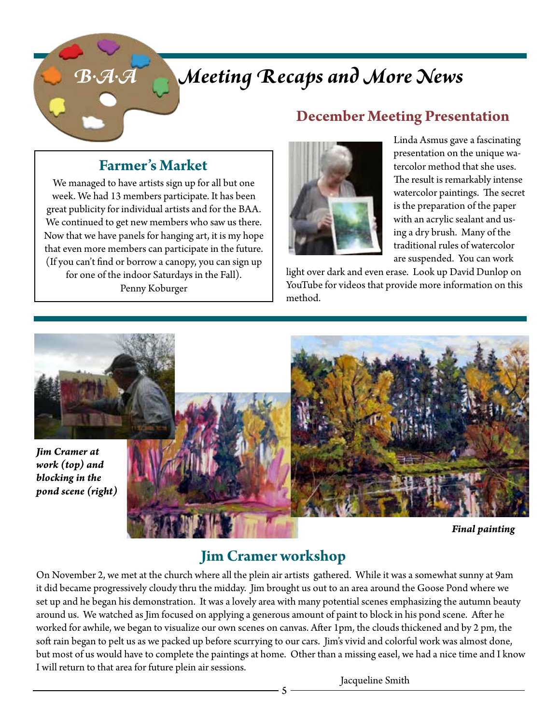# *B.A.A Meeting Recaps and More News*

## **December Meeting Presentation**

## **Farmer's Market**

We managed to have artists sign up for all but one week. We had 13 members participate. It has been great publicity for individual artists and for the BAA. We continued to get new members who saw us there. Now that we have panels for hanging art, it is my hope that even more members can participate in the future. (If you can't find or borrow a canopy, you can sign up for one of the indoor Saturdays in the Fall). Penny Koburger



Linda Asmus gave a fascinating presentation on the unique watercolor method that she uses. The result is remarkably intense watercolor paintings. The secret is the preparation of the paper with an acrylic sealant and using a dry brush. Many of the traditional rules of watercolor are suspended. You can work

light over dark and even erase. Look up David Dunlop on YouTube for videos that provide more information on this method.



*Final painting*

## **Jim Cramer workshop**

On November 2, we met at the church where all the plein air artists gathered. While it was a somewhat sunny at 9am it did became progressively cloudy thru the midday. Jim brought us out to an area around the Goose Pond where we set up and he began his demonstration. It was a lovely area with many potential scenes emphasizing the autumn beauty around us. We watched as Jim focused on applying a generous amount of paint to block in his pond scene. After he worked for awhile, we began to visualize our own scenes on canvas. After 1pm, the clouds thickened and by 2 pm, the soft rain began to pelt us as we packed up before scurrying to our cars. Jim's vivid and colorful work was almost done, but most of us would have to complete the paintings at home. Other than a missing easel, we had a nice time and I know I will return to that area for future plein air sessions.

Jacqueline Smith

5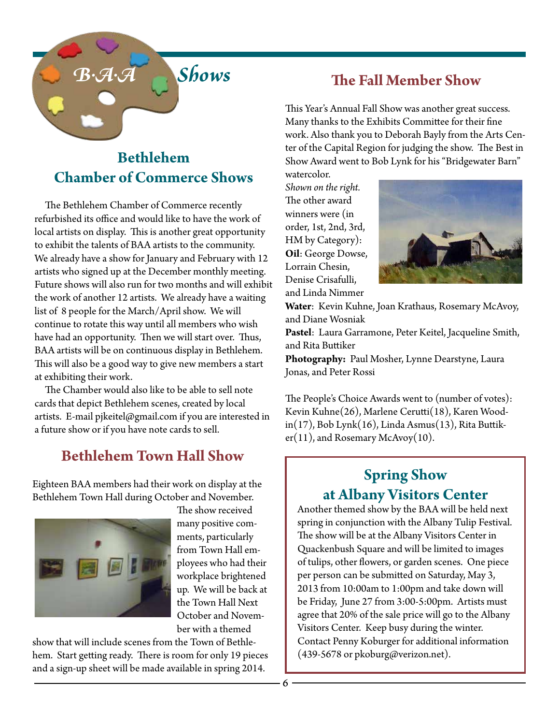

## **Bethlehem Chamber of Commerce Shows**

 The Bethlehem Chamber of Commerce recently refurbished its office and would like to have the work of local artists on display. This is another great opportunity to exhibit the talents of BAA artists to the community. We already have a show for January and February with 12 artists who signed up at the December monthly meeting. Future shows will also run for two months and will exhibit the work of another 12 artists. We already have a waiting list of 8 people for the March/April show. We will continue to rotate this way until all members who wish have had an opportunity. Then we will start over. Thus, BAA artists will be on continuous display in Bethlehem. This will also be a good way to give new members a start at exhibiting their work.

 The Chamber would also like to be able to sell note cards that depict Bethlehem scenes, created by local artists. E-mail pjkeitel@gmail.com if you are interested in a future show or if you have note cards to sell.

## **Bethlehem Town Hall Show**

Eighteen BAA members had their work on display at the Bethlehem Town Hall during October and November.



The show received many positive comments, particularly from Town Hall employees who had their workplace brightened up. We will be back at the Town Hall Next October and November with a themed

show that will include scenes from the Town of Bethlehem. Start getting ready. There is room for only 19 pieces and a sign-up sheet will be made available in spring 2014.

### **The Fall Member Show**

This Year's Annual Fall Show was another great success. Many thanks to the Exhibits Committee for their fine work. Also thank you to Deborah Bayly from the Arts Center of the Capital Region for judging the show. The Best in Show Award went to Bob Lynk for his "Bridgewater Barn"

watercolor. *Shown on the right.*  The other award winners were (in order, 1st, 2nd, 3rd, HM by Category): **Oil**: George Dowse, Lorrain Chesin, Denise Crisafulli, and Linda Nimmer



**Water**: Kevin Kuhne, Joan Krathaus, Rosemary McAvoy, and Diane Wosniak

**Pastel**: Laura Garramone, Peter Keitel, Jacqueline Smith, and Rita Buttiker

**Photography:** Paul Mosher, Lynne Dearstyne, Laura Jonas, and Peter Rossi

The People's Choice Awards went to (number of votes): Kevin Kuhne(26), Marlene Cerutti(18), Karen Woodin(17), Bob Lynk(16), Linda Asmus(13), Rita Buttiker(11), and Rosemary McAvoy(10).

## **Spring Show at Albany Visitors Center**

Another themed show by the BAA will be held next spring in conjunction with the Albany Tulip Festival. The show will be at the Albany Visitors Center in Quackenbush Square and will be limited to images of tulips, other flowers, or garden scenes. One piece per person can be submitted on Saturday, May 3, 2013 from 10:00am to 1:00pm and take down will be Friday, June 27 from 3:00-5:00pm. Artists must agree that 20% of the sale price will go to the Albany Visitors Center. Keep busy during the winter. Contact Penny Koburger for additional information (439-5678 or pkoburg@verizon.net).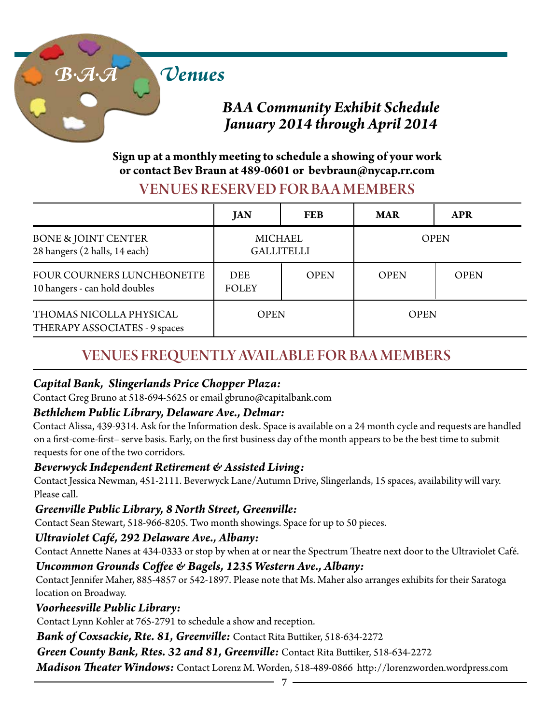

## *BAA Community Exhibit Schedule January 2014 through April 2014*

#### **Sign up at a monthly meeting to schedule a showing of your work or contact Bev Braun at 489-0601 or bevbraun@nycap.rr.com**

#### VENUES RESERVED FOR BA A MEMBERS

|                                                                 | <b>JAN</b>                   | <b>FEB</b>  | <b>MAR</b>  | <b>APR</b>  |
|-----------------------------------------------------------------|------------------------------|-------------|-------------|-------------|
| <b>BONE &amp; JOINT CENTER</b><br>28 hangers (2 halls, 14 each) | MICHAEL<br><b>GALLITELLI</b> |             | <b>OPEN</b> |             |
| FOUR COURNERS LUNCHEONETTE<br>10 hangers - can hold doubles     | <b>DEE</b><br><b>FOLEY</b>   | <b>OPEN</b> | <b>OPEN</b> | <b>OPEN</b> |
| THOMAS NICOLLA PHYSICAL<br>THERAPY ASSOCIATES - 9 spaces        | <b>OPEN</b>                  |             | <b>OPEN</b> |             |

## VENUES FREQUENTLY AVAILABLE FOR BAA MEMBERS

#### *Capital Bank, Slingerlands Price Chopper Plaza:*

Contact Greg Bruno at 518-694-5625 or email gbruno@capitalbank.com

#### *Bethlehem Public Library, Delaware Ave., Delmar:*

Contact Alissa, 439-9314. Ask for the Information desk. Space is available on a 24 month cycle and requests are handled on a first-come-first– serve basis. Early, on the first business day of the month appears to be the best time to submit requests for one of the two corridors.

#### *Beverwyck Independent Retirement & Assisted Living:*

Contact Jessica Newman, 451-2111. Beverwyck Lane/Autumn Drive, Slingerlands, 15 spaces, availability will vary. Please call.

#### *Greenville Public Library, 8 North Street, Greenville:*

Contact Sean Stewart, 518-966-8205. Two month showings. Space for up to 50 pieces.

#### *Ultraviolet Café, 292 Delaware Ave., Albany:*

Contact Annette Nanes at 434-0333 or stop by when at or near the Spectrum Theatre next door to the Ultraviolet Café.

#### *Uncommon Grounds Coffee & Bagels, 1235 Western Ave., Albany:*

Contact Jennifer Maher, 885-4857 or 542-1897. Please note that Ms. Maher also arranges exhibits for their Saratoga location on Broadway.

#### *Voorheesville Public Library:*

Contact Lynn Kohler at 765-2791 to schedule a show and reception.

*Bank of Coxsackie, Rte. 81, Greenville:* Contact Rita Buttiker, 518-634-2272

*Green County Bank, Rtes. 32 and 81, Greenville:* Contact Rita Buttiker, 518-634-2272

*Madison Theater Windows:* Contact Lorenz M. Worden, 518-489-0866 http://lorenzworden.wordpress.com